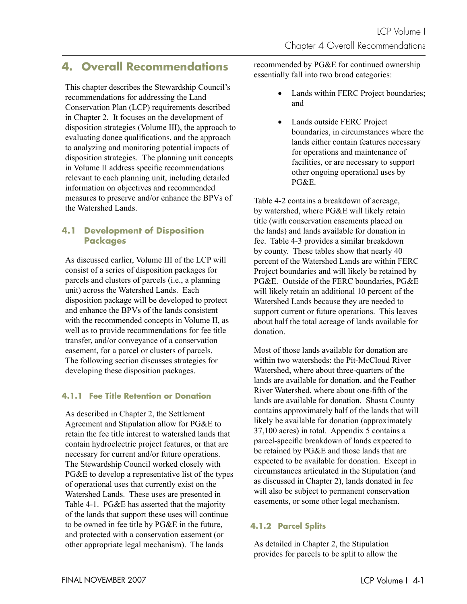# **4. Overall Recommendations**

This chapter describes the Stewardship Council's recommendations for addressing the Land Conservation Plan (LCP) requirements described in Chapter 2. It focuses on the development of disposition strategies (Volume III), the approach to evaluating donee qualifications, and the approach to analyzing and monitoring potential impacts of disposition strategies. The planning unit concepts in Volume II address specific recommendations relevant to each planning unit, including detailed information on objectives and recommended measures to preserve and/or enhance the BPVs of the Watershed Lands.

## **4.1 Development of Disposition Packages**

As discussed earlier, Volume III of the LCP will consist of a series of disposition packages for parcels and clusters of parcels (i.e., a planning unit) across the Watershed Lands. Each disposition package will be developed to protect and enhance the BPVs of the lands consistent with the recommended concepts in Volume II, as well as to provide recommendations for fee title transfer, and/or conveyance of a conservation easement, for a parcel or clusters of parcels. The following section discusses strategies for developing these disposition packages.

## **4.1.1 Fee Title Retention or Donation**

As described in Chapter 2, the Settlement Agreement and Stipulation allow for PG&E to retain the fee title interest to watershed lands that contain hydroelectric project features, or that are necessary for current and/or future operations. The Stewardship Council worked closely with PG&E to develop a representative list of the types of operational uses that currently exist on the Watershed Lands. These uses are presented in Table 4-1. PG&E has asserted that the majority of the lands that support these uses will continue to be owned in fee title by PG&E in the future, and protected with a conservation easement (or other appropriate legal mechanism). The lands

recommended by PG&E for continued ownership essentially fall into two broad categories:

- Lands within FERC Project boundaries; and
- Lands outside FERC Project boundaries, in circumstances where the lands either contain features necessary for operations and maintenance of facilities, or are necessary to support other ongoing operational uses by PG&E.

Table 4-2 contains a breakdown of acreage, by watershed, where PG&E will likely retain title (with conservation easements placed on the lands) and lands available for donation in fee. Table 4-3 provides a similar breakdown by county. These tables show that nearly 40 percent of the Watershed Lands are within FERC Project boundaries and will likely be retained by PG&E. Outside of the FERC boundaries, PG&E will likely retain an additional 10 percent of the Watershed Lands because they are needed to support current or future operations. This leaves about half the total acreage of lands available for donation.

Most of those lands available for donation are within two watersheds: the Pit-McCloud River Watershed, where about three-quarters of the lands are available for donation, and the Feather River Watershed, where about one-fifth of the lands are available for donation. Shasta County contains approximately half of the lands that will likely be available for donation (approximately 37,100 acres) in total. Appendix 5 contains a parcel-specific breakdown of lands expected to be retained by PG&E and those lands that are expected to be available for donation. Except in circumstances articulated in the Stipulation (and as discussed in Chapter 2), lands donated in fee will also be subject to permanent conservation easements, or some other legal mechanism.

## **4.1.2 Parcel Splits**

As detailed in Chapter 2, the Stipulation provides for parcels to be split to allow the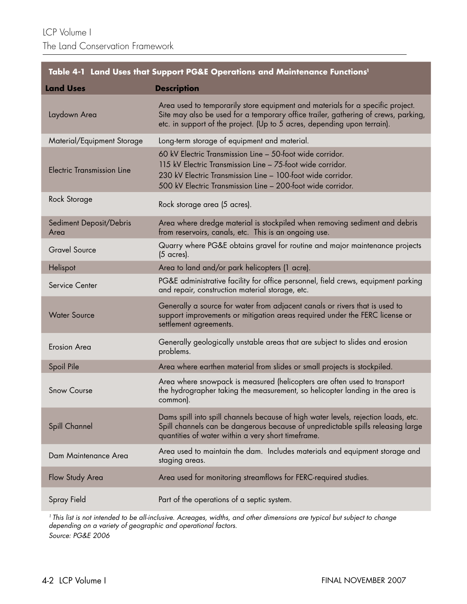| Table 4-1 Land Uses that Support PG&E Operations and Maintenance Functions <sup>1</sup> |                                                                                                                                                                                                                                                       |  |  |
|-----------------------------------------------------------------------------------------|-------------------------------------------------------------------------------------------------------------------------------------------------------------------------------------------------------------------------------------------------------|--|--|
| <b>Land Uses</b>                                                                        | <b>Description</b>                                                                                                                                                                                                                                    |  |  |
| Laydown Area                                                                            | Area used to temporarily store equipment and materials for a specific project.<br>Site may also be used for a temporary office trailer, gathering of crews, parking,<br>etc. in support of the project. (Up to 5 acres, depending upon terrain).      |  |  |
| Material/Equipment Storage                                                              | Long-term storage of equipment and material.                                                                                                                                                                                                          |  |  |
| <b>Electric Transmission Line</b>                                                       | 60 kV Electric Transmission Line - 50-foot wide corridor.<br>115 kV Electric Transmission Line - 75-foot wide corridor.<br>230 kV Electric Transmission Line - 100-foot wide corridor.<br>500 kV Electric Transmission Line - 200-foot wide corridor. |  |  |
| Rock Storage                                                                            | Rock storage area (5 acres).                                                                                                                                                                                                                          |  |  |
| Sediment Deposit/Debris<br>Area                                                         | Area where dredge material is stockpiled when removing sediment and debris<br>from reservoirs, canals, etc. This is an ongoing use.                                                                                                                   |  |  |
| <b>Gravel Source</b>                                                                    | Quarry where PG&E obtains gravel for routine and major maintenance projects<br>$(5 \text{ acres})$ .                                                                                                                                                  |  |  |
| Helispot                                                                                | Area to land and/or park helicopters (1 acre).                                                                                                                                                                                                        |  |  |
| Service Center                                                                          | PG&E administrative facility for office personnel, field crews, equipment parking<br>and repair, construction material storage, etc.                                                                                                                  |  |  |
| <b>Water Source</b>                                                                     | Generally a source for water from adjacent canals or rivers that is used to<br>support improvements or mitigation areas required under the FERC license or<br>settlement agreements.                                                                  |  |  |
| <b>Erosion Area</b>                                                                     | Generally geologically unstable areas that are subject to slides and erosion<br>problems.                                                                                                                                                             |  |  |
| Spoil Pile                                                                              | Area where earthen material from slides or small projects is stockpiled.                                                                                                                                                                              |  |  |
| <b>Snow Course</b>                                                                      | Area where snowpack is measured (helicopters are often used to transport<br>the hydrographer taking the measurement, so helicopter landing in the area is<br>common).                                                                                 |  |  |
| Spill Channel                                                                           | Dams spill into spill channels because of high water levels, rejection loads, etc.<br>Spill channels can be dangerous because of unpredictable spills releasing large<br>quantities of water within a very short timeframe.                           |  |  |
| Dam Maintenance Area                                                                    | Area used to maintain the dam. Includes materials and equipment storage and<br>staging areas.                                                                                                                                                         |  |  |
| Flow Study Area                                                                         | Area used for monitoring streamflows for FERC-required studies.                                                                                                                                                                                       |  |  |
| Spray Field                                                                             | Part of the operations of a septic system.                                                                                                                                                                                                            |  |  |

<sup>1</sup> This list is not intended to be all-inclusive. Acreages, widths, and other dimensions are typical but subject to change depending on a variety of geographic and operational factors. Source: PG&E 2006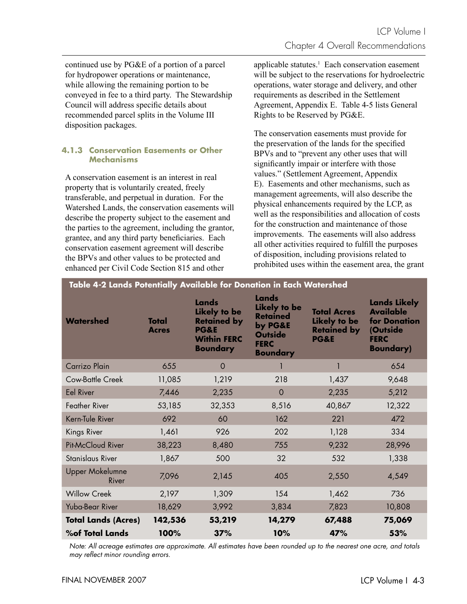continued use by PG&E of a portion of a parcel for hydropower operations or maintenance, while allowing the remaining portion to be conveyed in fee to a third party. The Stewardship Council will address specific details about recommended parcel splits in the Volume III disposition packages.

## **4.1.3 Conservation Easements or Other Mechanisms**

A conservation easement is an interest in real property that is voluntarily created, freely transferable, and perpetual in duration. For the Watershed Lands, the conservation easements will describe the property subject to the easement and the parties to the agreement, including the grantor, grantee, and any third party beneficiaries. Each conservation easement agreement will describe the BPVs and other values to be protected and enhanced per Civil Code Section 815 and other

applicable statutes.<sup>1</sup> Each conservation easement will be subject to the reservations for hydroelectric operations, water storage and delivery, and other requirements as described in the Settlement Agreement, Appendix E. Table 4-5 lists General Rights to be Reserved by PG&E.

The conservation easements must provide for the preservation of the lands for the specified BPVs and to "prevent any other uses that will significantly impair or interfere with those values." (Settlement Agreement, Appendix E). Easements and other mechanisms, such as management agreements, will also describe the physical enhancements required by the LCP, as well as the responsibilities and allocation of costs for the construction and maintenance of those improvements. The easements will also address all other activities required to fulfill the purposes of disposition, including provisions related to prohibited uses within the easement area, the grant

| Table 4-2 Lands Potentially Available for Donation in Each Watershed |                              |                                                                                                         |                                                                                                                |                                                                             |                                                                                                                |  |
|----------------------------------------------------------------------|------------------------------|---------------------------------------------------------------------------------------------------------|----------------------------------------------------------------------------------------------------------------|-----------------------------------------------------------------------------|----------------------------------------------------------------------------------------------------------------|--|
| <b>Watershed</b>                                                     | <b>Total</b><br><b>Acres</b> | Lands<br>Likely to be<br><b>Retained by</b><br><b>PG&amp;E</b><br><b>Within FERC</b><br><b>Boundary</b> | Lands<br><b>Likely to be</b><br><b>Retained</b><br>by PG&E<br><b>Outside</b><br><b>FERC</b><br><b>Boundary</b> | <b>Total Acres</b><br>Likely to be<br><b>Retained by</b><br><b>PG&amp;E</b> | <b>Lands Likely</b><br><b>Available</b><br><b>for Donation</b><br>(Outside<br><b>FERC</b><br><b>Boundary</b> ) |  |
| Carrizo Plain                                                        | 655                          | $\circ$                                                                                                 |                                                                                                                | 1                                                                           | 654                                                                                                            |  |
| <b>Cow-Battle Creek</b>                                              | 11,085                       | 1,219                                                                                                   | 218                                                                                                            | 1,437                                                                       | 9,648                                                                                                          |  |
| <b>Eel River</b>                                                     | 7,446                        | 2,235                                                                                                   | $\mathbf 0$                                                                                                    | 2,235                                                                       | 5,212                                                                                                          |  |
| Feather River                                                        | 53,185                       | 32,353                                                                                                  | 8,516                                                                                                          | 40,867                                                                      | 12,322                                                                                                         |  |
| Kern-Tule River                                                      | 692                          | 60                                                                                                      | 162                                                                                                            | 221                                                                         | 472                                                                                                            |  |
| Kings River                                                          | 1,461                        | 926                                                                                                     | 202                                                                                                            | 1,128                                                                       | 334                                                                                                            |  |
| <b>Pit-McCloud River</b>                                             | 38,223                       | 8,480                                                                                                   | 755                                                                                                            | 9,232                                                                       | 28,996                                                                                                         |  |
| Stanislaus River                                                     | 1,867                        | 500                                                                                                     | 32                                                                                                             | 532                                                                         | 1,338                                                                                                          |  |
| <b>Upper Mokelumne</b><br>River                                      | 7,096                        | 2,145                                                                                                   | 405                                                                                                            | 2,550                                                                       | 4,549                                                                                                          |  |
| <b>Willow Creek</b>                                                  | 2,197                        | 1,309                                                                                                   | 154                                                                                                            | 1,462                                                                       | 736                                                                                                            |  |
| Yuba-Bear River                                                      | 18,629                       | 3,992                                                                                                   | 3,834                                                                                                          | 7,823                                                                       | 10,808                                                                                                         |  |
| <b>Total Lands (Acres)</b>                                           | 142,536                      | 53,219                                                                                                  | 14,279                                                                                                         | 67,488                                                                      | 75,069                                                                                                         |  |
| <b>%of Total Lands</b>                                               | 100%                         | 37%                                                                                                     | 10%                                                                                                            | 47%                                                                         | 53%                                                                                                            |  |

Note: All acreage estimates are approximate. All estimates have been rounded up to the nearest one acre, and totals may reflect minor rounding errors.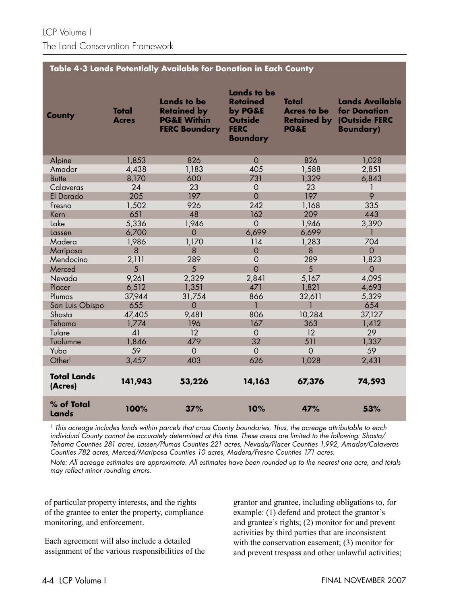#### **Table 4-3 Lands Potentially Available for Donation in Each County**

| <b>County</b>                 | <b>Total</b><br><b>Acres</b> | <b>Lands to be</b><br><b>Retained by</b><br><b>PG&amp;E Within</b><br><b>FERC Boundary</b> | <b>Lands to be</b><br><b>Retained</b><br>by PG&E<br><b>Outside</b><br><b>FERC</b><br><b>Boundary</b> | Total<br><b>Acres to be</b><br><b>Retained by</b><br><b>PG&amp;E</b> | <b>Lands Available</b><br>for Donation<br>(Outside FERC<br><b>Boundary)</b> |
|-------------------------------|------------------------------|--------------------------------------------------------------------------------------------|------------------------------------------------------------------------------------------------------|----------------------------------------------------------------------|-----------------------------------------------------------------------------|
| Alpine                        | 1,853                        | 826                                                                                        | $\Omega$                                                                                             | 826                                                                  | 1,028                                                                       |
| Amador                        | 4,438                        | 1,183                                                                                      | 405                                                                                                  | 1,588                                                                | 2,851                                                                       |
| <b>Butte</b>                  | 8,170                        | 600                                                                                        | 731                                                                                                  | 1,329                                                                | 6,843                                                                       |
| Calaveras                     | 24                           | 23                                                                                         | $\Omega$                                                                                             | 23                                                                   |                                                                             |
| El Dorado                     | 205                          | 197                                                                                        | $\overline{O}$                                                                                       | 197                                                                  | 9                                                                           |
| Fresno                        | 1,502                        | 926                                                                                        | 242                                                                                                  | 1,168                                                                | 335                                                                         |
| Kern                          | 651                          | 48                                                                                         | 162                                                                                                  | 209                                                                  | 443                                                                         |
| Lake                          | 5,336                        | 1,946                                                                                      | $\overline{O}$                                                                                       | 1,946                                                                | 3,390                                                                       |
| Lassen                        | 6,700                        | $\Omega$                                                                                   | 6,699                                                                                                | 6,699                                                                |                                                                             |
| Madera                        | 1,986                        | 1,170                                                                                      | 114                                                                                                  | 1,283                                                                | 704                                                                         |
| Mariposa                      | 8                            | 8                                                                                          | $\mathbf 0$                                                                                          | 8                                                                    | $\overline{0}$                                                              |
| Mendocino                     | 2,111                        | 289                                                                                        | $\mathbf 0$                                                                                          | 289                                                                  | 1,823                                                                       |
| Merced                        | 5                            | 5                                                                                          | $\overline{O}$                                                                                       | 5                                                                    | $\overline{0}$                                                              |
| Nevada                        | 9,261                        | 2,329                                                                                      | 2,841                                                                                                | 5,167                                                                | 4,095                                                                       |
| Placer                        | 6,512                        | 1,351                                                                                      | 471                                                                                                  | 1,821                                                                | 4,693                                                                       |
| Plumas                        | 37,944                       | 31,754                                                                                     | 866                                                                                                  | 32,611                                                               | 5,329                                                                       |
| San Luis Obispo               | 655                          | $\mathbf 0$                                                                                | 1                                                                                                    |                                                                      | 654                                                                         |
| Shasta                        | 47,405                       | 9,481                                                                                      | 806                                                                                                  | 10,284                                                               | 37,127                                                                      |
| Tehama                        | 1,774                        | 196                                                                                        | 167                                                                                                  | 363                                                                  | 1,412                                                                       |
| Tulare                        | 41                           | 12                                                                                         | $\mathbf 0$                                                                                          | 12                                                                   | 29                                                                          |
| Tuolumne                      | 1,846                        | 479                                                                                        | 32                                                                                                   | 511                                                                  | 1,337                                                                       |
| Yuba                          | 59                           | $\overline{O}$                                                                             | $\overline{0}$                                                                                       | $\overline{O}$                                                       | 59                                                                          |
| Other <sup>1</sup>            | 3,457                        | 403                                                                                        | 626                                                                                                  | 1,028                                                                | 2,431                                                                       |
| <b>Total Lands</b><br>(Acres) | 141,943                      | 53,226                                                                                     | 14,163                                                                                               | 67,376                                                               | 74,593                                                                      |
| % of Total<br>Lands           | 100%                         | 37%                                                                                        | 10%                                                                                                  | 47%                                                                  | 53%                                                                         |

<sup>1</sup> This acreage includes lands within parcels that cross County boundaries. Thus, the acreage attributable to each individual County cannot be accurately determined at this time. These areas are limited to the following: Shasta/ Tehama Counties 281 acres, Lassen/Plumas Counties 221 acres, Nevada/Placer Counties 1,992, Amador/Calaveras Counties 782 acres, Merced/Mariposa Counties 10 acres, Madera/Fresno Counties 171 acres.

Note: All acreage estimates are approximate. All estimates have been rounded up to the nearest one acre, and totals may reflect minor rounding errors.

of particular property interests, and the rights of the grantee to enter the property, compliance monitoring, and enforcement.

Each agreement will also include a detailed assignment of the various responsibilities of the grantor and grantee, including obligations to, for example: (1) defend and protect the grantor's and grantee's rights; (2) monitor for and prevent activities by third parties that are inconsistent with the conservation easement; (3) monitor for and prevent trespass and other unlawful activities;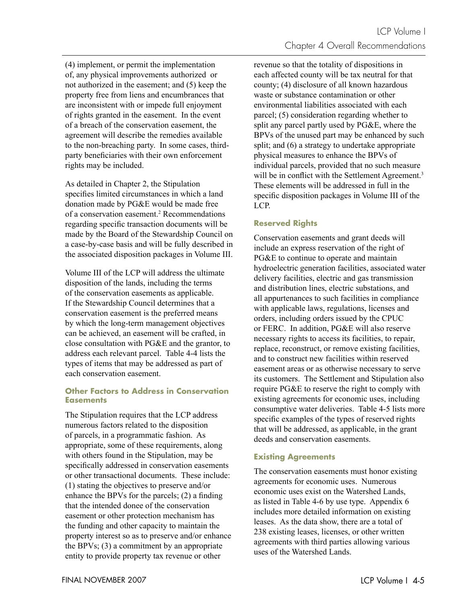(4) implement, or permit the implementation of, any physical improvements authorized or not authorized in the easement; and (5) keep the property free from liens and encumbrances that are inconsistent with or impede full enjoyment of rights granted in the easement. In the event of a breach of the conservation easement, the agreement will describe the remedies available to the non-breaching party. In some cases, thirdparty beneficiaries with their own enforcement rights may be included.

As detailed in Chapter 2, the Stipulation specifies limited circumstances in which a land donation made by PG&E would be made free of a conservation easement.<sup>2</sup> Recommendations regarding specific transaction documents will be made by the Board of the Stewardship Council on a case-by-case basis and will be fully described in the associated disposition packages in Volume III.

Volume III of the LCP will address the ultimate disposition of the lands, including the terms of the conservation easements as applicable. If the Stewardship Council determines that a conservation easement is the preferred means by which the long-term management objectives can be achieved, an easement will be crafted, in close consultation with PG&E and the grantor, to address each relevant parcel. Table 4-4 lists the types of items that may be addressed as part of each conservation easement.

## **Other Factors to Address in Conservation Easements**

The Stipulation requires that the LCP address numerous factors related to the disposition of parcels, in a programmatic fashion. As appropriate, some of these requirements, along with others found in the Stipulation, may be specifically addressed in conservation easements or other transactional documents. These include: (1) stating the objectives to preserve and/or enhance the BPVs for the parcels;  $(2)$  a finding that the intended donee of the conservation easement or other protection mechanism has the funding and other capacity to maintain the property interest so as to preserve and/or enhance the BPVs; (3) a commitment by an appropriate entity to provide property tax revenue or other

revenue so that the totality of dispositions in each affected county will be tax neutral for that county; (4) disclosure of all known hazardous waste or substance contamination or other environmental liabilities associated with each parcel; (5) consideration regarding whether to split any parcel partly used by PG&E, where the BPVs of the unused part may be enhanced by such split; and (6) a strategy to undertake appropriate physical measures to enhance the BPVs of individual parcels, provided that no such measure will be in conflict with the Settlement Agreement.<sup>3</sup> These elements will be addressed in full in the specific disposition packages in Volume III of the LCP.

## **Reserved Rights**

Conservation easements and grant deeds will include an express reservation of the right of PG&E to continue to operate and maintain hydroelectric generation facilities, associated water delivery facilities, electric and gas transmission and distribution lines, electric substations, and all appurtenances to such facilities in compliance with applicable laws, regulations, licenses and orders, including orders issued by the CPUC or FERC. In addition, PG&E will also reserve necessary rights to access its facilities, to repair, replace, reconstruct, or remove existing facilities, and to construct new facilities within reserved easement areas or as otherwise necessary to serve its customers. The Settlement and Stipulation also require PG&E to reserve the right to comply with existing agreements for economic uses, including consumptive water deliveries. Table 4-5 lists more specific examples of the types of reserved rights that will be addressed, as applicable, in the grant deeds and conservation easements.

## **Existing Agreements**

The conservation easements must honor existing agreements for economic uses. Numerous economic uses exist on the Watershed Lands, as listed in Table 4-6 by use type. Appendix 6 includes more detailed information on existing leases. As the data show, there are a total of 238 existing leases, licenses, or other written agreements with third parties allowing various uses of the Watershed Lands.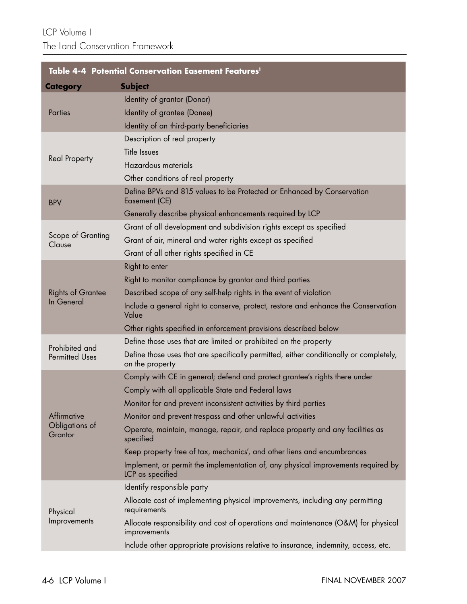| Table 4-4 Potential Conservation Easement Features <sup>1</sup> |                                                                                                           |  |  |
|-----------------------------------------------------------------|-----------------------------------------------------------------------------------------------------------|--|--|
| <b>Category</b>                                                 | <b>Subject</b>                                                                                            |  |  |
|                                                                 | Identity of grantor (Donor)                                                                               |  |  |
| <b>Parties</b>                                                  | Identity of grantee (Donee)                                                                               |  |  |
|                                                                 | Identity of an third-party beneficiaries                                                                  |  |  |
|                                                                 | Description of real property                                                                              |  |  |
| <b>Real Property</b>                                            | Title Issues                                                                                              |  |  |
|                                                                 | Hazardous materials                                                                                       |  |  |
|                                                                 | Other conditions of real property                                                                         |  |  |
| <b>BPV</b>                                                      | Define BPVs and 815 values to be Protected or Enhanced by Conservation<br>Easement (CE)                   |  |  |
|                                                                 | Generally describe physical enhancements required by LCP                                                  |  |  |
|                                                                 | Grant of all development and subdivision rights except as specified                                       |  |  |
| Scope of Granting<br>Clause                                     | Grant of air, mineral and water rights except as specified                                                |  |  |
|                                                                 | Grant of all other rights specified in CE                                                                 |  |  |
|                                                                 | Right to enter                                                                                            |  |  |
|                                                                 | Right to monitor compliance by grantor and third parties                                                  |  |  |
| <b>Rights of Grantee</b>                                        | Described scope of any self-help rights in the event of violation                                         |  |  |
| In General                                                      | Include a general right to conserve, protect, restore and enhance the Conservation<br>Value               |  |  |
|                                                                 | Other rights specified in enforcement provisions described below                                          |  |  |
| Prohibited and                                                  | Define those uses that are limited or prohibited on the property                                          |  |  |
| <b>Permitted Uses</b>                                           | Define those uses that are specifically permitted, either conditionally or completely,<br>on the property |  |  |
|                                                                 | Comply with CE in general; defend and protect grantee's rights there under                                |  |  |
|                                                                 | Comply with all applicable State and Federal laws                                                         |  |  |
|                                                                 | Monitor for and prevent inconsistent activities by third parties                                          |  |  |
| Affirmative                                                     | Monitor and prevent trespass and other unlawful activities                                                |  |  |
| Obligations of<br>Grantor                                       | Operate, maintain, manage, repair, and replace property and any facilities as<br>specified                |  |  |
|                                                                 | Keep property free of tax, mechanics', and other liens and encumbrances                                   |  |  |
|                                                                 | Implement, or permit the implementation of, any physical improvements required by<br>LCP as specified     |  |  |
|                                                                 | Identify responsible party                                                                                |  |  |
| Physical                                                        | Allocate cost of implementing physical improvements, including any permitting<br>requirements             |  |  |
| Improvements                                                    | Allocate responsibility and cost of operations and maintenance (O&M) for physical<br>improvements         |  |  |
|                                                                 | Include other appropriate provisions relative to insurance, indemnity, access, etc.                       |  |  |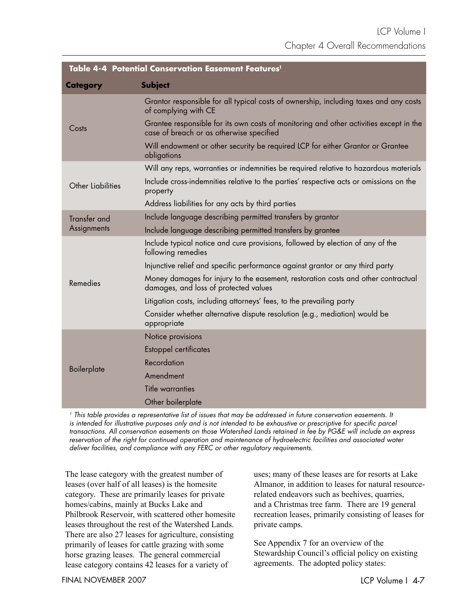| Table 4-4 Potential Conservation Easement Features <sup>1</sup> |                                                                                                                                    |  |  |  |
|-----------------------------------------------------------------|------------------------------------------------------------------------------------------------------------------------------------|--|--|--|
| <b>Category</b>                                                 | <b>Subject</b>                                                                                                                     |  |  |  |
|                                                                 | Grantor responsible for all typical costs of ownership, including taxes and any costs<br>of complying with CE                      |  |  |  |
| Costs                                                           | Grantee responsible for its own costs of monitoring and other activities except in the<br>case of breach or as otherwise specified |  |  |  |
|                                                                 | Will endowment or other security be required LCP for either Grantor or Grantee<br>obligations                                      |  |  |  |
|                                                                 | Will any reps, warranties or indemnities be required relative to hazardous materials                                               |  |  |  |
| Other Liabilities                                               | Include cross-indemnities relative to the parties' respective acts or omissions on the<br>property                                 |  |  |  |
|                                                                 | Address liabilities for any acts by third parties                                                                                  |  |  |  |
| <b>Transfer and</b>                                             | Include language describing permitted transfers by grantor                                                                         |  |  |  |
| Assignments                                                     | Include language describing permitted transfers by grantee                                                                         |  |  |  |
|                                                                 | Include typical notice and cure provisions, followed by election of any of the<br>following remedies                               |  |  |  |
|                                                                 | Injunctive relief and specific performance against grantor or any third party                                                      |  |  |  |
| Remedies                                                        | Money damages for injury to the easement, restoration costs and other contractual<br>damages, and loss of protected values         |  |  |  |
|                                                                 | Litigation costs, including attorneys' fees, to the prevailing party                                                               |  |  |  |
|                                                                 | Consider whether alternative dispute resolution (e.g., mediation) would be<br>appropriate                                          |  |  |  |
|                                                                 | Notice provisions                                                                                                                  |  |  |  |
|                                                                 | <b>Estoppel certificates</b>                                                                                                       |  |  |  |
|                                                                 | Recordation                                                                                                                        |  |  |  |
| Boilerplate                                                     | Amendment                                                                                                                          |  |  |  |
|                                                                 | Title warranties                                                                                                                   |  |  |  |
|                                                                 | Other boilerplate                                                                                                                  |  |  |  |

<sup>1</sup> This table provides a representative list of issues that may be addressed in future conservation easements. It is intended for illustrative purposes only and is not intended to be exhaustive or prescriptive for specific parcel transactions. All conservation easements on those Watershed Lands retained in fee by PG&E will include an express reservation of the right for continued operation and maintenance of hydroelectric facilities and associated water deliver facilities, and compliance with any FERC or other regulatory requirements.

The lease category with the greatest number of leases (over half of all leases) is the homesite category. These are primarily leases for private homes/cabins, mainly at Bucks Lake and Philbrook Reservoir, with scattered other homesite leases throughout the rest of the Watershed Lands. There are also 27 leases for agriculture, consisting primarily of leases for cattle grazing with some horse grazing leases. The general commercial lease category contains 42 leases for a variety of

uses; many of these leases are for resorts at Lake Almanor, in addition to leases for natural resourcerelated endeavors such as beehives, quarries, and a Christmas tree farm. There are 19 general recreation leases, primarily consisting of leases for private camps.

See Appendix 7 for an overview of the Stewardship Council's official policy on existing agreements. The adopted policy states: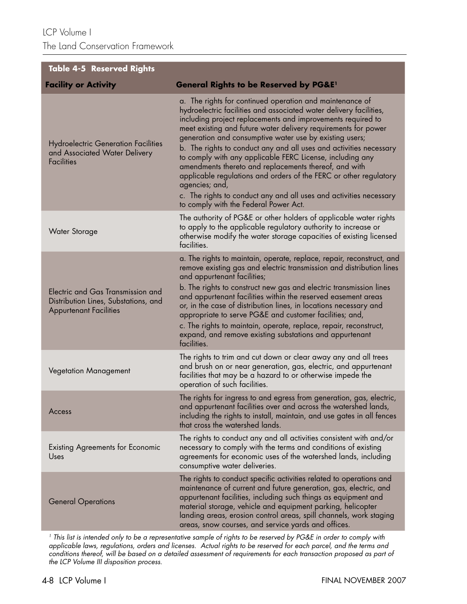LCP Volume I The Land Conservation Framework

| <b>Table 4-5 Reserved Rights</b>                                                                           |                                                                                                                                                                                                                                                                                                                                                                                                                                                                                                                                                                                                                                                                                                                              |
|------------------------------------------------------------------------------------------------------------|------------------------------------------------------------------------------------------------------------------------------------------------------------------------------------------------------------------------------------------------------------------------------------------------------------------------------------------------------------------------------------------------------------------------------------------------------------------------------------------------------------------------------------------------------------------------------------------------------------------------------------------------------------------------------------------------------------------------------|
| <b>Facility or Activity</b>                                                                                | <b>General Rights to be Reserved by PG&amp;E1</b>                                                                                                                                                                                                                                                                                                                                                                                                                                                                                                                                                                                                                                                                            |
| <b>Hydroelectric Generation Facilities</b><br>and Associated Water Delivery<br><b>Facilities</b>           | a. The rights for continued operation and maintenance of<br>hydroelectric facilities and associated water delivery facilities,<br>including project replacements and improvements required to<br>meet existing and future water delivery requirements for power<br>generation and consumptive water use by existing users;<br>b. The rights to conduct any and all uses and activities necessary<br>to comply with any applicable FERC License, including any<br>amendments thereto and replacements thereof, and with<br>applicable regulations and orders of the FERC or other regulatory<br>agencies; and,<br>c. The rights to conduct any and all uses and activities necessary<br>to comply with the Federal Power Act. |
| <b>Water Storage</b>                                                                                       | The authority of PG&E or other holders of applicable water rights<br>to apply to the applicable regulatory authority to increase or<br>otherwise modify the water storage capacities of existing licensed<br>facilities.                                                                                                                                                                                                                                                                                                                                                                                                                                                                                                     |
| Electric and Gas Transmission and<br>Distribution Lines, Substations, and<br><b>Appurtenant Facilities</b> | a. The rights to maintain, operate, replace, repair, reconstruct, and<br>remove existing gas and electric transmission and distribution lines<br>and appurtenant facilities;<br>b. The rights to construct new gas and electric transmission lines<br>and appurtenant facilities within the reserved easement areas<br>or, in the case of distribution lines, in locations necessary and<br>appropriate to serve PG&E and customer facilities; and,<br>c. The rights to maintain, operate, replace, repair, reconstruct,<br>expand, and remove existing substations and appurtenant<br>facilities.                                                                                                                           |
| <b>Vegetation Management</b>                                                                               | The rights to trim and cut down or clear away any and all trees<br>and brush on or near generation, gas, electric, and appurtenant<br>facilities that may be a hazard to or otherwise impede the<br>operation of such facilities.                                                                                                                                                                                                                                                                                                                                                                                                                                                                                            |
| Access                                                                                                     | The rights for ingress to and egress from generation, gas, electric,<br>and appurtenant facilities over and across the watershed lands,<br>including the rights to install, maintain, and use gates in all fences<br>that cross the watershed lands.                                                                                                                                                                                                                                                                                                                                                                                                                                                                         |
| <b>Existing Agreements for Economic</b><br>Uses                                                            | The rights to conduct any and all activities consistent with and/or<br>necessary to comply with the terms and conditions of existing<br>agreements for economic uses of the watershed lands, including<br>consumptive water deliveries.                                                                                                                                                                                                                                                                                                                                                                                                                                                                                      |
| <b>General Operations</b>                                                                                  | The rights to conduct specific activities related to operations and<br>maintenance of current and future generation, gas, electric, and<br>appurtenant facilities, including such things as equipment and<br>material storage, vehicle and equipment parking, helicopter<br>landing areas, erosion control areas, spill channels, work staging<br>areas, snow courses, and service yards and offices.                                                                                                                                                                                                                                                                                                                        |

1 This list is intended only to be a representative sample of rights to be reserved by PG&E in order to comply with applicable laws, regulations, orders and licenses. Actual rights to be reserved for each parcel, and the terms and conditions thereof, will be based on a detailed assessment of requirements for each transaction proposed as part of the LCP Volume III disposition process.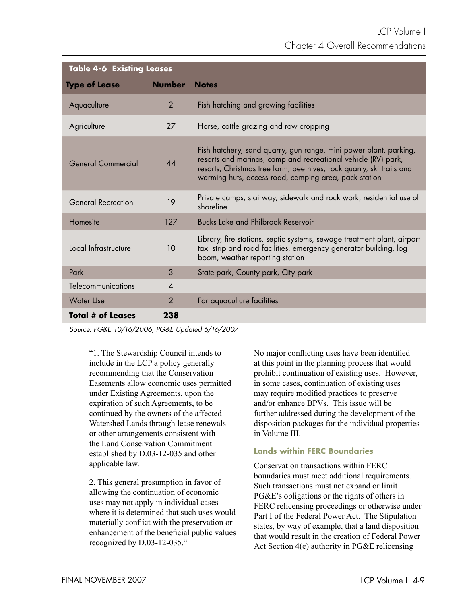| <b>Table 4-6 Existing Leases</b> |                            |                                                                                                                                                                                                                                                                     |  |
|----------------------------------|----------------------------|---------------------------------------------------------------------------------------------------------------------------------------------------------------------------------------------------------------------------------------------------------------------|--|
| <b>Type of Lease</b>             | <b>Number</b>              | <b>Notes</b>                                                                                                                                                                                                                                                        |  |
| Aquaculture                      | $\overline{2}$             | Fish hatching and growing facilities                                                                                                                                                                                                                                |  |
| Agriculture                      | 27                         | Horse, cattle grazing and row cropping                                                                                                                                                                                                                              |  |
| General Commercial               | 44                         | Fish hatchery, sand quarry, gun range, mini power plant, parking,<br>resorts and marinas, camp and recreational vehicle (RV) park,<br>resorts, Christmas tree farm, bee hives, rock quarry, ski trails and<br>warming huts, access road, camping area, pack station |  |
| <b>General Recreation</b>        | 19                         | Private camps, stairway, sidewalk and rock work, residential use of<br>shoreline                                                                                                                                                                                    |  |
| Homesite                         | 127                        | <b>Bucks Lake and Philbrook Reservoir</b>                                                                                                                                                                                                                           |  |
| Local Infrastructure             | 10                         | Library, fire stations, septic systems, sewage treatment plant, airport<br>taxi strip and road facilities, emergency generator building, log<br>boom, weather reporting station                                                                                     |  |
| Park                             | 3                          | State park, County park, City park                                                                                                                                                                                                                                  |  |
| Telecommunications               | $\boldsymbol{\mathcal{A}}$ |                                                                                                                                                                                                                                                                     |  |
| <b>Water Use</b>                 | $\overline{2}$             | For aquaculture facilities                                                                                                                                                                                                                                          |  |
| Total # of Leases                | 238                        |                                                                                                                                                                                                                                                                     |  |

Source: PG&E 10/16/2006, PG&E Updated 5/16/2007

"1. The Stewardship Council intends to include in the LCP a policy generally recommending that the Conservation Easements allow economic uses permitted under Existing Agreements, upon the expiration of such Agreements, to be continued by the owners of the affected Watershed Lands through lease renewals or other arrangements consistent with the Land Conservation Commitment established by D.03-12-035 and other applicable law.

2. This general presumption in favor of allowing the continuation of economic uses may not apply in individual cases where it is determined that such uses would materially conflict with the preservation or enhancement of the beneficial public values recognized by D.03-12-035."

No major conflicting uses have been identified at this point in the planning process that would prohibit continuation of existing uses. However, in some cases, continuation of existing uses may require modified practices to preserve and/or enhance BPVs. This issue will be further addressed during the development of the disposition packages for the individual properties in Volume III.

## **Lands within FERC Boundaries**

Conservation transactions within FERC boundaries must meet additional requirements. Such transactions must not expand or limit PG&E's obligations or the rights of others in FERC relicensing proceedings or otherwise under Part I of the Federal Power Act. The Stipulation states, by way of example, that a land disposition that would result in the creation of Federal Power Act Section 4(e) authority in PG&E relicensing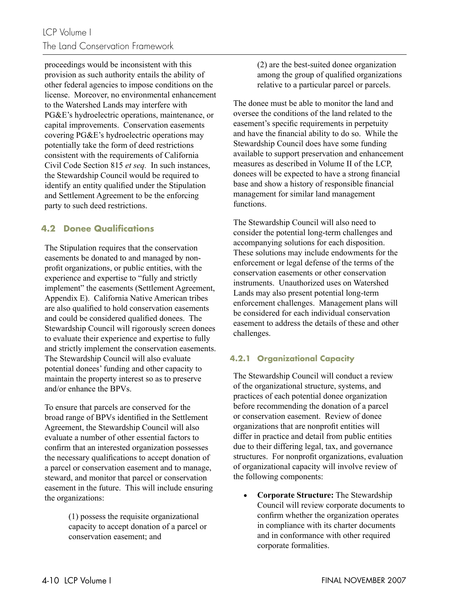proceedings would be inconsistent with this provision as such authority entails the ability of other federal agencies to impose conditions on the license. Moreover, no environmental enhancement to the Watershed Lands may interfere with PG&E's hydroelectric operations, maintenance, or capital improvements. Conservation easements covering PG&E's hydroelectric operations may potentially take the form of deed restrictions consistent with the requirements of California Civil Code Section 815 *et seq.* In such instances, the Stewardship Council would be required to identify an entity qualified under the Stipulation and Settlement Agreement to be the enforcing party to such deed restrictions.

## **4.2 Donee Qualifi cations**

The Stipulation requires that the conservation easements be donated to and managed by nonprofit organizations, or public entities, with the experience and expertise to "fully and strictly implement" the easements (Settlement Agreement, Appendix E). California Native American tribes are also qualified to hold conservation easements and could be considered qualified donees. The Stewardship Council will rigorously screen donees to evaluate their experience and expertise to fully and strictly implement the conservation easements. The Stewardship Council will also evaluate potential donees' funding and other capacity to maintain the property interest so as to preserve and/or enhance the BPVs.

To ensure that parcels are conserved for the broad range of BPVs identified in the Settlement Agreement, the Stewardship Council will also evaluate a number of other essential factors to confirm that an interested organization possesses the necessary qualifications to accept donation of a parcel or conservation easement and to manage, steward, and monitor that parcel or conservation easement in the future. This will include ensuring the organizations:

> (1) possess the requisite organizational capacity to accept donation of a parcel or conservation easement; and

(2) are the best-suited donee organization among the group of qualified organizations relative to a particular parcel or parcels.

The donee must be able to monitor the land and oversee the conditions of the land related to the easement's specific requirements in perpetuity and have the financial ability to do so. While the Stewardship Council does have some funding available to support preservation and enhancement measures as described in Volume II of the LCP, donees will be expected to have a strong financial base and show a history of responsible financial management for similar land management functions.

The Stewardship Council will also need to consider the potential long-term challenges and accompanying solutions for each disposition. These solutions may include endowments for the enforcement or legal defense of the terms of the conservation easements or other conservation instruments. Unauthorized uses on Watershed Lands may also present potential long-term enforcement challenges. Management plans will be considered for each individual conservation easement to address the details of these and other challenges.

## **4.2.1 Organizational Capacity**

The Stewardship Council will conduct a review of the organizational structure, systems, and practices of each potential donee organization before recommending the donation of a parcel or conservation easement. Review of donee organizations that are nonprofit entities will differ in practice and detail from public entities due to their differing legal, tax, and governance structures. For nonprofit organizations, evaluation of organizational capacity will involve review of the following components:

• **Corporate Structure:** The Stewardship Council will review corporate documents to confirm whether the organization operates in compliance with its charter documents and in conformance with other required corporate formalities.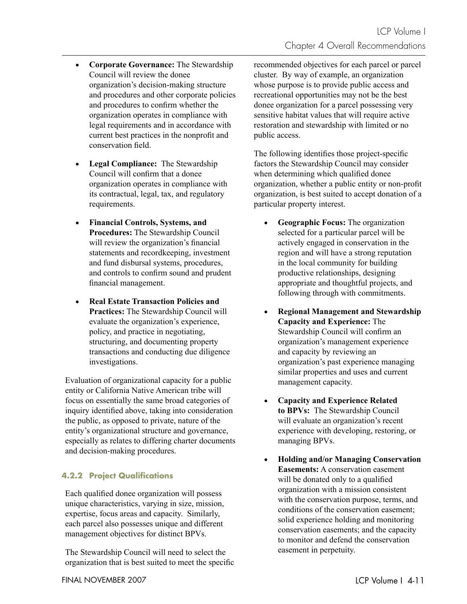- **Corporate Governance:** The Stewardship Council will review the donee organization's decision-making structure and procedures and other corporate policies and procedures to confirm whether the organization operates in compliance with legal requirements and in accordance with current best practices in the nonprofit and conservation field.
- **Legal Compliance:** The Stewardship Council will confirm that a donee organization operates in compliance with its contractual, legal, tax, and regulatory requirements.
- **Financial Controls, Systems, and Procedures:** The Stewardship Council will review the organization's financial statements and recordkeeping, investment and fund disbursal systems, procedures, and controls to confirm sound and prudent financial management.
- **Real Estate Transaction Policies and Practices:** The Stewardship Council will evaluate the organization's experience, policy, and practice in negotiating, structuring, and documenting property transactions and conducting due diligence investigations.

Evaluation of organizational capacity for a public entity or California Native American tribe will focus on essentially the same broad categories of inquiry identified above, taking into consideration the public, as opposed to private, nature of the entity's organizational structure and governance, especially as relates to differing charter documents and decision-making procedures.

## **4.2.2 Project Qualifications**

Each qualified donee organization will possess unique characteristics, varying in size, mission, expertise, focus areas and capacity. Similarly, each parcel also possesses unique and different management objectives for distinct BPVs.

The Stewardship Council will need to select the organization that is best suited to meet the specific recommended objectives for each parcel or parcel cluster. By way of example, an organization whose purpose is to provide public access and recreational opportunities may not be the best donee organization for a parcel possessing very sensitive habitat values that will require active restoration and stewardship with limited or no public access.

The following identifies those project-specific factors the Stewardship Council may consider when determining which qualified donee organization, whether a public entity or non-profit organization, is best suited to accept donation of a particular property interest.

- **Geographic Focus:** The organization selected for a particular parcel will be actively engaged in conservation in the region and will have a strong reputation in the local community for building productive relationships, designing appropriate and thoughtful projects, and following through with commitments.
- **Regional Management and Stewardship Capacity and Experience:** The Stewardship Council will confirm an organization's management experience and capacity by reviewing an organization's past experience managing similar properties and uses and current management capacity.
- **Capacity and Experience Related to BPVs:** The Stewardship Council will evaluate an organization's recent experience with developing, restoring, or managing BPVs.
- **Holding and/or Managing Conservation Easements:** A conservation easement will be donated only to a qualified organization with a mission consistent with the conservation purpose, terms, and conditions of the conservation easement; solid experience holding and monitoring conservation easements; and the capacity to monitor and defend the conservation easement in perpetuity.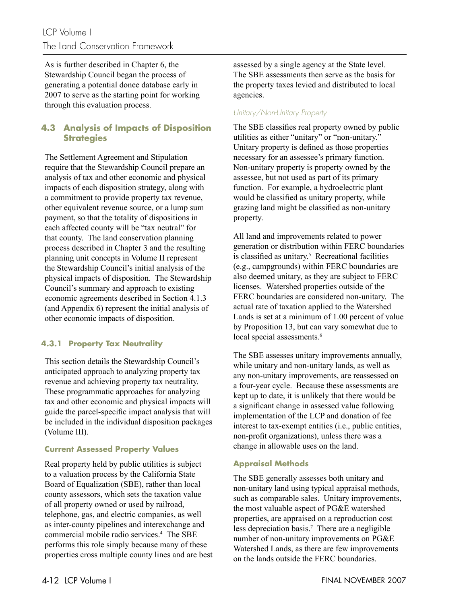## LCP Volume I The Land Conservation Framework

As is further described in Chapter 6, the Stewardship Council began the process of generating a potential donee database early in 2007 to serve as the starting point for working through this evaluation process.

## **4.3 Analysis of Impacts of Disposition Strategies**

The Settlement Agreement and Stipulation require that the Stewardship Council prepare an analysis of tax and other economic and physical impacts of each disposition strategy, along with a commitment to provide property tax revenue, other equivalent revenue source, or a lump sum payment, so that the totality of dispositions in each affected county will be "tax neutral" for that county. The land conservation planning process described in Chapter 3 and the resulting planning unit concepts in Volume II represent the Stewardship Council's initial analysis of the physical impacts of disposition. The Stewardship Council's summary and approach to existing economic agreements described in Section 4.1.3 (and Appendix 6) represent the initial analysis of other economic impacts of disposition.

## **4.3.1 Property Tax Neutrality**

This section details the Stewardship Council's anticipated approach to analyzing property tax revenue and achieving property tax neutrality. These programmatic approaches for analyzing tax and other economic and physical impacts will guide the parcel-specific impact analysis that will be included in the individual disposition packages (Volume III).

## **Current Assessed Property Values**

Real property held by public utilities is subject to a valuation process by the California State Board of Equalization (SBE), rather than local county assessors, which sets the taxation value of all property owned or used by railroad, telephone, gas, and electric companies, as well as inter-county pipelines and interexchange and commercial mobile radio services.4 The SBE performs this role simply because many of these properties cross multiple county lines and are best assessed by a single agency at the State level. The SBE assessments then serve as the basis for the property taxes levied and distributed to local agencies.

## Unitary/Non-Unitary Property

The SBE classifies real property owned by public utilities as either "unitary" or "non-unitary." Unitary property is defined as those properties necessary for an assessee's primary function. Non-unitary property is property owned by the assessee, but not used as part of its primary function. For example, a hydroelectric plant would be classified as unitary property, while grazing land might be classified as non-unitary property.

All land and improvements related to power generation or distribution within FERC boundaries is classified as unitary. $5$  Recreational facilities (e.g., campgrounds) within FERC boundaries are also deemed unitary, as they are subject to FERC licenses. Watershed properties outside of the FERC boundaries are considered non-unitary. The actual rate of taxation applied to the Watershed Lands is set at a minimum of 1.00 percent of value by Proposition 13, but can vary somewhat due to local special assessments.<sup>6</sup>

The SBE assesses unitary improvements annually, while unitary and non-unitary lands, as well as any non-unitary improvements, are reassessed on a four-year cycle. Because these assessments are kept up to date, it is unlikely that there would be a significant change in assessed value following implementation of the LCP and donation of fee interest to tax-exempt entities (i.e., public entities, non-profit organizations), unless there was a change in allowable uses on the land.

## **Appraisal Methods**

The SBE generally assesses both unitary and non-unitary land using typical appraisal methods, such as comparable sales. Unitary improvements, the most valuable aspect of PG&E watershed properties, are appraised on a reproduction cost less depreciation basis.<sup>7</sup> There are a negligible number of non-unitary improvements on PG&E Watershed Lands, as there are few improvements on the lands outside the FERC boundaries.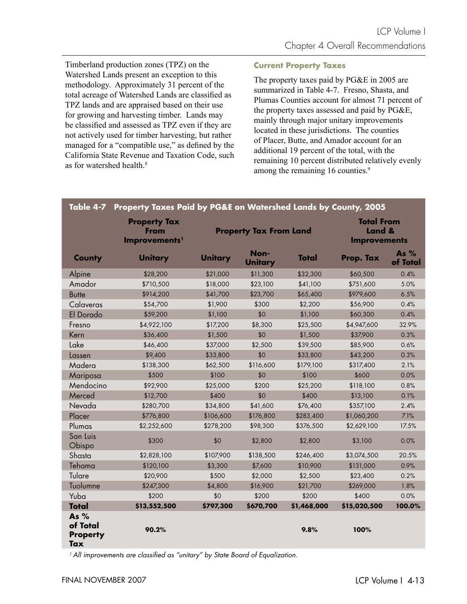Timberland production zones (TPZ) on the Watershed Lands present an exception to this methodology. Approximately 31 percent of the total acreage of Watershed Lands are classified as TPZ lands and are appraised based on their use for growing and harvesting timber. Lands may be classified and assessed as TPZ even if they are not actively used for timber harvesting, but rather managed for a "compatible use," as defined by the California State Revenue and Taxation Code, such as for watershed health<sup>8</sup>

#### **Current Property Taxes**

The property taxes paid by PG&E in 2005 are summarized in Table 4-7. Fresno, Shasta, and Plumas Counties account for almost 71 percent of the property taxes assessed and paid by PG&E, mainly through major unitary improvements located in these jurisdictions. The counties of Placer, Butte, and Amador account for an additional 19 percent of the total, with the remaining 10 percent distributed relatively evenly among the remaining 16 counties.<sup>9</sup>

| Table 4-7                                    | Property Taxes Paid by PG&E on Watershed Lands by County, 2005 |                               |                        |                                                    |              |                    |
|----------------------------------------------|----------------------------------------------------------------|-------------------------------|------------------------|----------------------------------------------------|--------------|--------------------|
|                                              | <b>Property Tax</b><br>From<br>Improvements <sup>1</sup>       | <b>Property Tax From Land</b> |                        | <b>Total From</b><br>Land &<br><b>Improvements</b> |              |                    |
| <b>County</b>                                | <b>Unitary</b>                                                 | <b>Unitary</b>                | Non-<br><b>Unitary</b> | <b>Total</b>                                       | Prop. Tax    | As $%$<br>of Total |
| Alpine                                       | \$28,200                                                       | \$21,000                      | \$11,300               | \$32,300                                           | \$60,500     | 0.4%               |
| Amador                                       | \$710,500                                                      | \$18,000                      | \$23,100               | \$41,100                                           | \$751,600    | 5.0%               |
| <b>Butte</b>                                 | \$914,200                                                      | \$41,700                      | \$23,700               | \$65,400                                           | \$979,600    | 6.5%               |
| Calaveras                                    | \$54,700                                                       | \$1,900                       | \$300                  | \$2,200                                            | \$56,900     | 0.4%               |
| El Dorado                                    | \$59,200                                                       | \$1,100                       | \$0                    | \$1,100                                            | \$60,300     | 0.4%               |
| Fresno                                       | \$4,922,100                                                    | \$17,200                      | \$8,300                | \$25,500                                           | \$4,947,600  | 32.9%              |
| Kern                                         | \$36,400                                                       | \$1,500                       | \$0                    | \$1,500                                            | \$37,900     | 0.3%               |
| Lake                                         | \$46,400                                                       | \$37,000                      | \$2,500                | \$39,500                                           | \$85,900     | 0.6%               |
| Lassen                                       | \$9,400                                                        | \$33,800                      | \$0                    | \$33,800                                           | \$43,200     | 0.3%               |
| Madera                                       | \$138,300                                                      | \$62,500                      | \$116,600              | \$179,100                                          | \$317,400    | 2.1%               |
| Mariposa                                     | \$500                                                          | \$100                         | \$0                    | \$100                                              | \$600        | 0.0%               |
| Mendocino                                    | \$92,900                                                       | \$25,000                      | \$200                  | \$25,200                                           | \$118,100    | 0.8%               |
| Merced                                       | \$12,700                                                       | \$400                         | \$0                    | \$400                                              | \$13,100     | 0.1%               |
| Nevada                                       | \$280,700                                                      | \$34,800                      | \$41,600               | \$76,400                                           | \$357,100    | 2.4%               |
| Placer                                       | \$776,800                                                      | \$106,600                     | \$176,800              | \$283,400                                          | \$1,060,200  | 7.1%               |
| Plumas                                       | \$2,252,600                                                    | \$278,200                     | \$98,300               | \$376,500                                          | \$2,629,100  | 17.5%              |
| San Luis<br>Obispo                           | \$300                                                          | \$0                           | \$2,800                | \$2,800                                            | \$3,100      | 0.0%               |
| Shasta                                       | \$2,828,100                                                    | \$107,900                     | \$138,500              | \$246,400                                          | \$3,074,500  | 20.5%              |
| Tehama                                       | \$120,100                                                      | \$3,300                       | \$7,600                | \$10,900                                           | \$131,000    | 0.9%               |
| Tulare                                       | \$20,900                                                       | \$500                         | \$2,000                | \$2,500                                            | \$23,400     | 0.2%               |
| Tuolumne                                     | \$247,300                                                      | \$4,800                       | \$16,900               | \$21,700                                           | \$269,000    | 1.8%               |
| Yuba                                         | \$200                                                          | \$0                           | \$200                  | \$200                                              | \$400        | 0.0%               |
| <b>Total</b>                                 | \$13,552,500                                                   | \$797,300                     | \$670,700              | \$1,468,000                                        | \$15,020,500 | 100.0%             |
| As $%$<br>of Total<br><b>Property</b><br>Tax | 90.2%                                                          |                               |                        | 9.8%                                               | 100%         |                    |

<sup>1</sup> All improvements are classified as "unitary" by State Board of Equalization.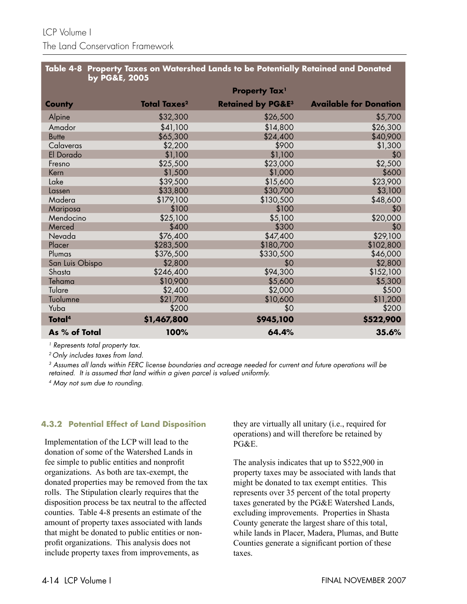|                               | Table 4-8 Property Taxes on Watershed Lands to be Potentially Retained and Donated |  |
|-------------------------------|------------------------------------------------------------------------------------|--|
| $\,$ by PG&E, 2005 $^{\circ}$ |                                                                                    |  |

|                    |                                | <b>Property Tax1</b>         |                               |
|--------------------|--------------------------------|------------------------------|-------------------------------|
| <b>County</b>      | <b>Total Taxes<sup>2</sup></b> | <b>Retained by PG&amp;E3</b> | <b>Available for Donation</b> |
| Alpine             | \$32,300                       | \$26,500                     | \$5,700                       |
| Amador             | \$41,100                       | \$14,800                     | \$26,300                      |
| <b>Butte</b>       | \$65,300                       | \$24,400                     | \$40,900                      |
| Calaveras          | \$2,200                        | \$900                        | \$1,300                       |
| El Dorado          | \$1,100                        | \$1,100                      | \$0                           |
| Fresno             | \$25,500                       | \$23,000                     | \$2,500                       |
| Kern               | \$1,500                        | \$1,000                      | \$600                         |
| Lake               | \$39,500                       | \$15,600                     | \$23,900                      |
| Lassen             | \$33,800                       | \$30,700                     | \$3,100                       |
| Madera             | \$179,100                      | \$130,500                    | \$48,600                      |
| Mariposa           | \$100                          | \$100                        | \$0                           |
| Mendocino          | \$25,100                       | \$5,100                      | \$20,000                      |
| Merced             | \$400                          | \$300                        | \$0                           |
| Nevada             | \$76,400                       | \$47,400                     | \$29,100                      |
| Placer             | \$283,500                      | \$180,700                    | \$102,800                     |
| Plumas             | \$376,500                      | \$330,500                    | \$46,000                      |
| San Luis Obispo    | \$2,800                        | \$0                          | \$2,800                       |
| Shasta             | \$246,400                      | \$94,300                     | \$152,100                     |
| Tehama             | \$10,900                       | \$5,600                      | \$5,300                       |
| Tulare             | \$2,400                        | \$2,000                      | \$500                         |
| Tuolumne           | \$21,700                       | \$10,600                     | \$11,200                      |
| Yuba               | \$200                          | \$0                          | \$200                         |
| Total <sup>4</sup> | \$1,467,800                    | \$945,100                    | \$522,900                     |
| As % of Total      | 100%                           | 64.4%                        | 35.6%                         |

<sup>1</sup> Represents total property tax.

2 Only includes taxes from land.

<sup>3</sup> Assumes all lands within FERC license boundaries and acreage needed for current and future operations will be retained. It is assumed that land within a given parcel is valued uniformly.

4 May not sum due to rounding.

#### **4.3.2 Potential Effect of Land Disposition**

Implementation of the LCP will lead to the donation of some of the Watershed Lands in fee simple to public entities and nonprofit organizations. As both are tax-exempt, the donated properties may be removed from the tax rolls. The Stipulation clearly requires that the disposition process be tax neutral to the affected counties. Table 4-8 presents an estimate of the amount of property taxes associated with lands that might be donated to public entities or nonprofit organizations. This analysis does not include property taxes from improvements, as

they are virtually all unitary (i.e., required for operations) and will therefore be retained by PG&E.

The analysis indicates that up to \$522,900 in property taxes may be associated with lands that might be donated to tax exempt entities. This represents over 35 percent of the total property taxes generated by the PG&E Watershed Lands, excluding improvements. Properties in Shasta County generate the largest share of this total, while lands in Placer, Madera, Plumas, and Butte Counties generate a significant portion of these taxes.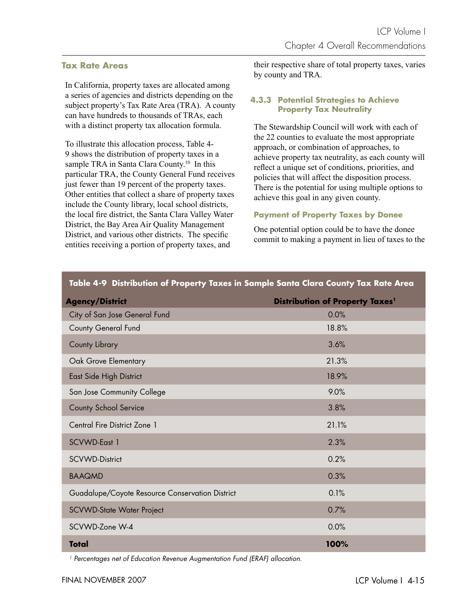#### **Tax Rate Areas**

In California, property taxes are allocated among a series of agencies and districts depending on the subject property's Tax Rate Area (TRA). A county can have hundreds to thousands of TRAs, each with a distinct property tax allocation formula.

To illustrate this allocation process, Table 4- 9 shows the distribution of property taxes in a sample TRA in Santa Clara County.<sup>10</sup> In this particular TRA, the County General Fund receives just fewer than 19 percent of the property taxes. Other entities that collect a share of property taxes include the County library, local school districts, the local fire district, the Santa Clara Valley Water District, the Bay Area Air Quality Management District, and various other districts. The specific entities receiving a portion of property taxes, and

their respective share of total property taxes, varies by county and TRA.

#### **4.3.3 Potential Strategies to Achieve Property Tax Neutrality**

The Stewardship Council will work with each of the 22 counties to evaluate the most appropriate approach, or combination of approaches, to achieve property tax neutrality, as each county will reflect a unique set of conditions, priorities, and policies that will affect the disposition process. There is the potential for using multiple options to achieve this goal in any given county.

#### **Payment of Property Taxes by Donee**

One potential option could be to have the donee commit to making a payment in lieu of taxes to the

| <b>Agency/District</b>                          | <b>Distribution of Property Taxes1</b> |
|-------------------------------------------------|----------------------------------------|
| City of San Jose General Fund                   | 0.0%                                   |
| <b>County General Fund</b>                      | 18.8%                                  |
| County Library                                  | 3.6%                                   |
| Oak Grove Elementary                            | 21.3%                                  |
| East Side High District                         | 18.9%                                  |
| San Jose Community College                      | 9.0%                                   |
| <b>County School Service</b>                    | 3.8%                                   |
| Central Fire District Zone 1                    | 21.1%                                  |
| SCVWD-East 1                                    | 2.3%                                   |
| <b>SCVWD-District</b>                           | 0.2%                                   |
| <b>BAAQMD</b>                                   | 0.3%                                   |
| Guadalupe/Coyote Resource Conservation District | 0.1%                                   |
| SCVWD-State Water Project                       | 0.7%                                   |
| SCVWD-Zone W-4                                  | 0.0%                                   |
| <b>Total</b>                                    | 100%                                   |

**Table 4-9 Distribution of Property Taxes in Sample Santa Clara County Tax Rate Area**

<sup>1</sup> Percentages net of Education Revenue Augmentation Fund (ERAF) allocation.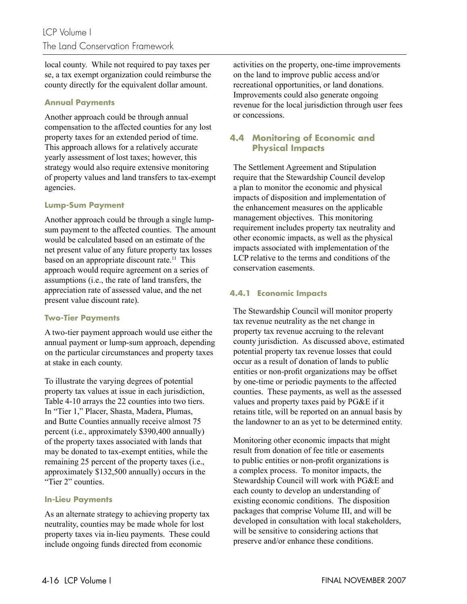local county. While not required to pay taxes per se, a tax exempt organization could reimburse the county directly for the equivalent dollar amount.

## **Annual Payments**

Another approach could be through annual compensation to the affected counties for any lost property taxes for an extended period of time. This approach allows for a relatively accurate yearly assessment of lost taxes; however, this strategy would also require extensive monitoring of property values and land transfers to tax-exempt agencies.

#### **Lump-Sum Payment**

Another approach could be through a single lumpsum payment to the affected counties. The amount would be calculated based on an estimate of the net present value of any future property tax losses based on an appropriate discount rate.<sup>11</sup> This approach would require agreement on a series of assumptions (i.e., the rate of land transfers, the appreciation rate of assessed value, and the net present value discount rate).

#### **Two-Tier Payments**

A two-tier payment approach would use either the annual payment or lump-sum approach, depending on the particular circumstances and property taxes at stake in each county.

To illustrate the varying degrees of potential property tax values at issue in each jurisdiction, Table 4-10 arrays the 22 counties into two tiers. In "Tier 1," Placer, Shasta, Madera, Plumas, and Butte Counties annually receive almost 75 percent (i.e., approximately \$390,400 annually) of the property taxes associated with lands that may be donated to tax-exempt entities, while the remaining 25 percent of the property taxes (i.e., approximately \$132,500 annually) occurs in the "Tier 2" counties.

#### **In-Lieu Payments**

As an alternate strategy to achieving property tax neutrality, counties may be made whole for lost property taxes via in-lieu payments. These could include ongoing funds directed from economic

activities on the property, one-time improvements on the land to improve public access and/or recreational opportunities, or land donations. Improvements could also generate ongoing revenue for the local jurisdiction through user fees or concessions.

## **4.4 Monitoring of Economic and Physical Impacts**

The Settlement Agreement and Stipulation require that the Stewardship Council develop a plan to monitor the economic and physical impacts of disposition and implementation of the enhancement measures on the applicable management objectives. This monitoring requirement includes property tax neutrality and other economic impacts, as well as the physical impacts associated with implementation of the LCP relative to the terms and conditions of the conservation easements.

## **4.4.1 Economic Impacts**

The Stewardship Council will monitor property tax revenue neutrality as the net change in property tax revenue accruing to the relevant county jurisdiction. As discussed above, estimated potential property tax revenue losses that could occur as a result of donation of lands to public entities or non-profit organizations may be offset by one-time or periodic payments to the affected counties. These payments, as well as the assessed values and property taxes paid by PG&E if it retains title, will be reported on an annual basis by the landowner to an as yet to be determined entity.

Monitoring other economic impacts that might result from donation of fee title or easements to public entities or non-profit organizations is a complex process. To monitor impacts, the Stewardship Council will work with PG&E and each county to develop an understanding of existing economic conditions. The disposition packages that comprise Volume III, and will be developed in consultation with local stakeholders, will be sensitive to considering actions that preserve and/or enhance these conditions.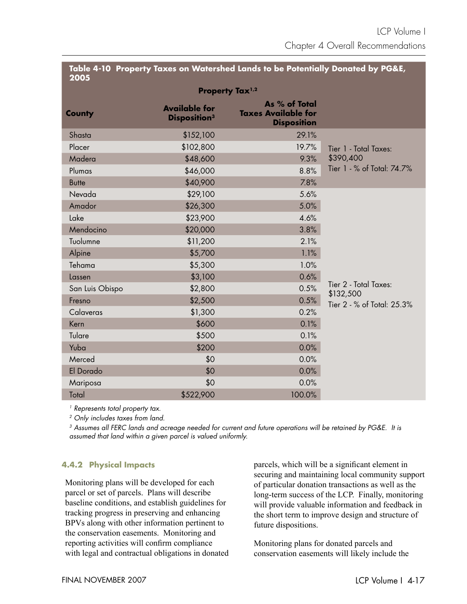#### **Table 4-10 Property Taxes on Watershed Lands to be Potentially Donated by PG&E, 2005**

| ___<br>Property Tax <sup>1,2</sup> |                                                        |                                                                   |                                    |  |
|------------------------------------|--------------------------------------------------------|-------------------------------------------------------------------|------------------------------------|--|
| <b>County</b>                      | <b>Available for</b><br><b>Disposition<sup>3</sup></b> | As % of Total<br><b>Taxes Available for</b><br><b>Disposition</b> |                                    |  |
| Shasta                             | \$152,100                                              | 29.1%                                                             |                                    |  |
| Placer                             | \$102,800                                              | 19.7%                                                             | Tier 1 - Total Taxes:              |  |
| Madera                             | \$48,600                                               | 9.3%                                                              | \$390,400                          |  |
| Plumas                             | \$46,000                                               | 8.8%                                                              | Tier 1 - % of Total: 74.7%         |  |
| <b>Butte</b>                       | \$40,900                                               | 7.8%                                                              |                                    |  |
| Nevada                             | \$29,100                                               | 5.6%                                                              |                                    |  |
| Amador                             | \$26,300                                               | 5.0%                                                              |                                    |  |
| Lake                               | \$23,900                                               | 4.6%                                                              |                                    |  |
| Mendocino                          | \$20,000                                               | 3.8%                                                              |                                    |  |
| Tuolumne                           | \$11,200                                               | 2.1%                                                              |                                    |  |
| Alpine                             | \$5,700                                                | 1.1%                                                              |                                    |  |
| Tehama                             | \$5,300                                                | 1.0%                                                              |                                    |  |
| Lassen                             | \$3,100                                                | 0.6%                                                              |                                    |  |
| San Luis Obispo                    | \$2,800                                                | 0.5%                                                              | Tier 2 - Total Taxes:<br>\$132,500 |  |
| Fresno                             | \$2,500                                                | 0.5%                                                              | Tier 2 - % of Total: 25.3%         |  |
| Calaveras                          | \$1,300                                                | 0.2%                                                              |                                    |  |
| Kern                               | \$600                                                  | 0.1%                                                              |                                    |  |
| Tulare                             | \$500                                                  | 0.1%                                                              |                                    |  |
| Yuba                               | \$200                                                  | 0.0%                                                              |                                    |  |
| Merced                             | \$0                                                    | 0.0%                                                              |                                    |  |
| El Dorado                          | \$0                                                    | 0.0%                                                              |                                    |  |
| Mariposa                           | \$0                                                    | 0.0%                                                              |                                    |  |
| Total                              | \$522,900                                              | 100.0%                                                            |                                    |  |

<sup>1</sup> Represents total property tax.

2 Only includes taxes from land.

<sup>3</sup> Assumes all FERC lands and acreage needed for current and future operations will be retained by PG&E. It is assumed that land within a given parcel is valued uniformly.

## **4.4.2 Physical Impacts**

Monitoring plans will be developed for each parcel or set of parcels. Plans will describe baseline conditions, and establish guidelines for tracking progress in preserving and enhancing BPVs along with other information pertinent to the conservation easements. Monitoring and reporting activities will confirm compliance with legal and contractual obligations in donated parcels, which will be a significant element in securing and maintaining local community support of particular donation transactions as well as the long-term success of the LCP. Finally, monitoring will provide valuable information and feedback in the short term to improve design and structure of future dispositions.

Monitoring plans for donated parcels and conservation easements will likely include the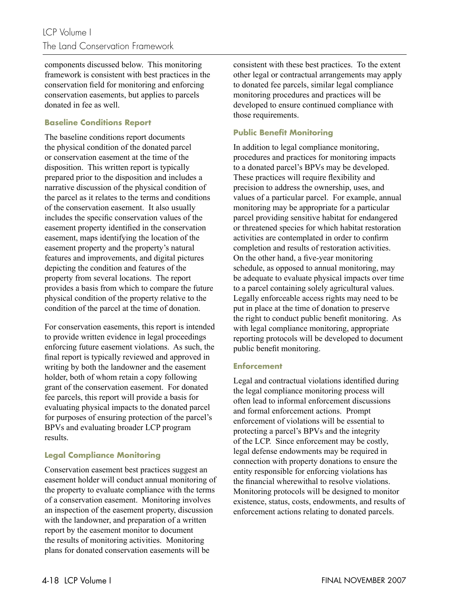components discussed below. This monitoring framework is consistent with best practices in the conservation field for monitoring and enforcing conservation easements, but applies to parcels donated in fee as well.

## **Baseline Conditions Report**

The baseline conditions report documents the physical condition of the donated parcel or conservation easement at the time of the disposition. This written report is typically prepared prior to the disposition and includes a narrative discussion of the physical condition of the parcel as it relates to the terms and conditions of the conservation easement. It also usually includes the specific conservation values of the easement property identified in the conservation easement, maps identifying the location of the easement property and the property's natural features and improvements, and digital pictures depicting the condition and features of the property from several locations. The report provides a basis from which to compare the future physical condition of the property relative to the condition of the parcel at the time of donation.

For conservation easements, this report is intended to provide written evidence in legal proceedings enforcing future easement violations. As such, the final report is typically reviewed and approved in writing by both the landowner and the easement holder, both of whom retain a copy following grant of the conservation easement. For donated fee parcels, this report will provide a basis for evaluating physical impacts to the donated parcel for purposes of ensuring protection of the parcel's BPVs and evaluating broader LCP program results.

## **Legal Compliance Monitoring**

Conservation easement best practices suggest an easement holder will conduct annual monitoring of the property to evaluate compliance with the terms of a conservation easement. Monitoring involves an inspection of the easement property, discussion with the landowner, and preparation of a written report by the easement monitor to document the results of monitoring activities. Monitoring plans for donated conservation easements will be

consistent with these best practices. To the extent other legal or contractual arrangements may apply to donated fee parcels, similar legal compliance monitoring procedures and practices will be developed to ensure continued compliance with those requirements.

## **Public Benefit Monitoring**

In addition to legal compliance monitoring, procedures and practices for monitoring impacts to a donated parcel's BPVs may be developed. These practices will require flexibility and precision to address the ownership, uses, and values of a particular parcel. For example, annual monitoring may be appropriate for a particular parcel providing sensitive habitat for endangered or threatened species for which habitat restoration activities are contemplated in order to confirm completion and results of restoration activities. On the other hand, a five-year monitoring schedule, as opposed to annual monitoring, may be adequate to evaluate physical impacts over time to a parcel containing solely agricultural values. Legally enforceable access rights may need to be put in place at the time of donation to preserve the right to conduct public benefit monitoring. As with legal compliance monitoring, appropriate reporting protocols will be developed to document public benefit monitoring.

#### **Enforcement**

Legal and contractual violations identified during the legal compliance monitoring process will often lead to informal enforcement discussions and formal enforcement actions. Prompt enforcement of violations will be essential to protecting a parcel's BPVs and the integrity of the LCP. Since enforcement may be costly, legal defense endowments may be required in connection with property donations to ensure the entity responsible for enforcing violations has the financial wherewithal to resolve violations. Monitoring protocols will be designed to monitor existence, status, costs, endowments, and results of enforcement actions relating to donated parcels.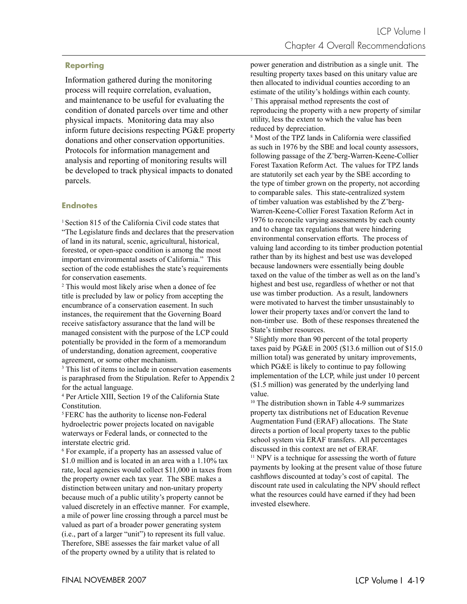#### **Reporting**

Information gathered during the monitoring process will require correlation, evaluation, and maintenance to be useful for evaluating the condition of donated parcels over time and other physical impacts. Monitoring data may also inform future decisions respecting PG&E property donations and other conservation opportunities. Protocols for information management and analysis and reporting of monitoring results will be developed to track physical impacts to donated parcels.

#### **Endnotes**

<sup>1</sup> Section 815 of the California Civil code states that "The Legislature finds and declares that the preservation" of land in its natural, scenic, agricultural, historical, forested, or open-space condition is among the most important environmental assets of California." This section of the code establishes the state's requirements for conservation easements.

2 This would most likely arise when a donee of fee title is precluded by law or policy from accepting the encumbrance of a conservation easement. In such instances, the requirement that the Governing Board receive satisfactory assurance that the land will be managed consistent with the purpose of the LCP could potentially be provided in the form of a memorandum of understanding, donation agreement, cooperative agreement, or some other mechanism.

<sup>3</sup> This list of items to include in conservation easements is paraphrased from the Stipulation. Refer to Appendix 2 for the actual language.

4 Per Article XIII, Section 19 of the California State Constitution.

5 FERC has the authority to license non-Federal hydroelectric power projects located on navigable waterways or Federal lands, or connected to the interstate electric grid.

6 For example, if a property has an assessed value of \$1.0 million and is located in an area with a 1.10% tax rate, local agencies would collect \$11,000 in taxes from the property owner each tax year. The SBE makes a distinction between unitary and non-unitary property because much of a public utility's property cannot be valued discretely in an effective manner. For example, a mile of power line crossing through a parcel must be valued as part of a broader power generating system (i.e., part of a larger "unit") to represent its full value. Therefore, SBE assesses the fair market value of all of the property owned by a utility that is related to

power generation and distribution as a single unit. The resulting property taxes based on this unitary value are then allocated to individual counties according to an estimate of the utility's holdings within each county. 7 This appraisal method represents the cost of reproducing the property with a new property of similar utility, less the extent to which the value has been reduced by depreciation.

<sup>8</sup> Most of the TPZ lands in California were classified as such in 1976 by the SBE and local county assessors, following passage of the Z'berg-Warren-Keene-Collier Forest Taxation Reform Act. The values for TPZ lands are statutorily set each year by the SBE according to the type of timber grown on the property, not according to comparable sales. This state-centralized system of timber valuation was established by the Z'berg-Warren-Keene-Collier Forest Taxation Reform Act in 1976 to reconcile varying assessments by each county and to change tax regulations that were hindering environmental conservation efforts. The process of valuing land according to its timber production potential rather than by its highest and best use was developed because landowners were essentially being double taxed on the value of the timber as well as on the land's highest and best use, regardless of whether or not that use was timber production. As a result, landowners were motivated to harvest the timber unsustainably to lower their property taxes and/or convert the land to non-timber use. Both of these responses threatened the State's timber resources.

9 Slightly more than 90 percent of the total property taxes paid by PG&E in 2005 (\$13.6 million out of \$15.0 million total) was generated by unitary improvements, which PG&E is likely to continue to pay following implementation of the LCP, while just under 10 percent (\$1.5 million) was generated by the underlying land value.

10 The distribution shown in Table 4-9 summarizes property tax distributions net of Education Revenue Augmentation Fund (ERAF) allocations. The State directs a portion of local property taxes to the public school system via ERAF transfers. All percentages discussed in this context are net of ERAF.

<sup>11</sup> NPV is a technique for assessing the worth of future payments by looking at the present value of those future cashflows discounted at today's cost of capital. The discount rate used in calculating the NPV should reflect what the resources could have earned if they had been invested elsewhere.